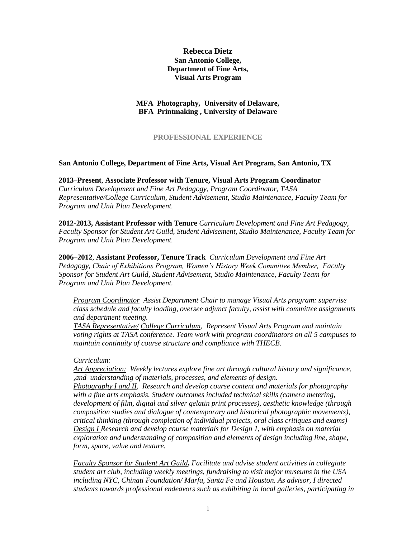# **Rebecca Dietz San Antonio College, Department of Fine Arts, Visual Arts Program**

# **MFA Photography, University of Delaware, BFA Printmaking , University of Delaware**

# **PROFESSIONAL EXPERIENCE**

### **San Antonio College, Department of Fine Arts, Visual Art Program, San Antonio, TX**

**2013–Present**, **Associate Professor with Tenure, Visual Arts Program Coordinator**  *Curriculum Development and Fine Art Pedagogy, Program Coordinator, TASA Representative/College Curriculum, Student Advisement, Studio Maintenance, Faculty Team for Program and Unit Plan Development.* 

**2012-2013, Assistant Professor with Tenure** *Curriculum Development and Fine Art Pedagogy, Faculty Sponsor for Student Art Guild, Student Advisement, Studio Maintenance, Faculty Team for Program and Unit Plan Development.*

**2006–2012**, **Assistant Professor, Tenure Track** *Curriculum Development and Fine Art Pedagogy, Chair of Exhibitions Program, Women's History Week Committee Member, Faculty Sponsor for Student Art Guild, Student Advisement, Studio Maintenance, Faculty Team for Program and Unit Plan Development.*

*Program Coordinator Assist Department Chair to manage Visual Arts program: supervise class schedule and faculty loading, oversee adjunct faculty, assist with committee assignments and department meeting.*

*TASA Representative/ College Curriculum, Represent Visual Arts Program and maintain voting rights at TASA conference. Team work with program coordinators on all 5 campuses to maintain continuity of course structure and compliance with THECB.*

## *Curriculum:*

*Art Appreciation: Weekly lectures explore fine art through cultural history and significance, ,and understanding of materials, processes, and elements of design.* 

*Photography I and II, Research and develop course content and materials for photography with a fine arts emphasis. Student outcomes included technical skills (camera metering, development of film, digital and silver gelatin print processes), aesthetic knowledge (through composition studies and dialogue of contemporary and historical photographic movements), critical thinking (through completion of individual projects, oral class critiques and exams) Design I Research and develop course materials for Design 1, with emphasis on material exploration and understanding of composition and elements of design including line, shape, form, space, value and texture.* 

*Faculty Sponsor for Student Art Guild***,** *Facilitate and advise student activities in collegiate student art club, including weekly meetings, fundraising to visit major museums in the USA including NYC, Chinati Foundation/ Marfa, Santa Fe and Houston. As advisor, I directed students towards professional endeavors such as exhibiting in local galleries, participating in*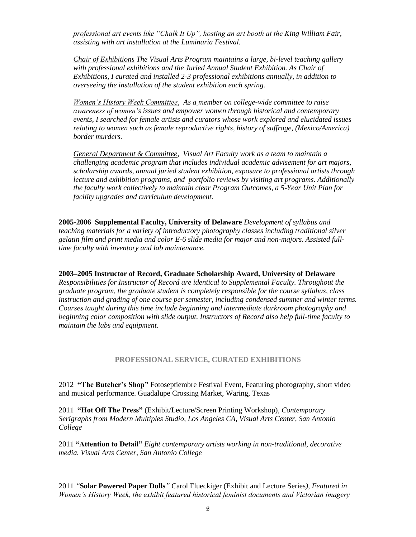*professional art events like "Chalk It Up", hosting an art booth at the King William Fair, assisting with art installation at the Luminaria Festival.* 

*Chair of Exhibitions The Visual Arts Program maintains a large, bi-level teaching gallery with professional exhibitions and the Juried Annual Student Exhibition. As Chair of Exhibitions, I curated and installed 2-3 professional exhibitions annually, in addition to overseeing the installation of the student exhibition each spring.* 

*Women's History Week Committee, As a member on college-wide committee to raise awareness of women's issues and empower women through historical and contemporary events, I searched for female artists and curators whose work explored and elucidated issues relating to women such as female reproductive rights, history of suffrage, (Mexico/America) border murders.* 

*General Department & Committee, Visual Art Faculty work as a team to maintain a challenging academic program that includes individual academic advisement for art majors, scholarship awards, annual juried student exhibition, exposure to professional artists through lecture and exhibition programs, and portfolio reviews by visiting art programs. Additionally the faculty work collectively to maintain clear Program Outcomes, a 5-Year Unit Plan for facility upgrades and curriculum development.* 

**2005-2006 Supplemental Faculty, University of Delaware** *Development of syllabus and teaching materials for a variety of introductory photography classes including traditional silver gelatin film and print media and color E-6 slide media for major and non-majors. Assisted fulltime faculty with inventory and lab maintenance.*

**2003–2005 Instructor of Record, Graduate Scholarship Award, University of Delaware** 

*Responsibilities for Instructor of Record are identical to Supplemental Faculty. Throughout the graduate program, the graduate student is completely responsible for the course syllabus, class instruction and grading of one course per semester, including condensed summer and winter terms. Courses taught during this time include beginning and intermediate darkroom photography and beginning color composition with slide output. Instructors of Record also help full-time faculty to maintain the labs and equipment.*

### **PROFESSIONAL SERVICE, CURATED EXHIBITIONS**

2012 **"The Butcher's Shop"** Fotoseptiembre Festival Event, Featuring photography, short video and musical performance. Guadalupe Crossing Market, Waring, Texas

2011 **"Hot Off The Press"** (Exhibit/Lecture/Screen Printing Workshop), *Contemporary Serigraphs from Modern Multiples Studio, Los Angeles CA, Visual Arts Center, San Antonio College*

2011 **"Attention to Detail"** *Eight contemporary artists working in non-traditional, decorative media. Visual Arts Center, San Antonio College*

2011 *"***Solar Powered Paper Dolls***"* Carol Flueckiger (Exhibit and Lecture Series*), Featured in Women's History Week, the exhibit featured historical feminist documents and Victorian imagery*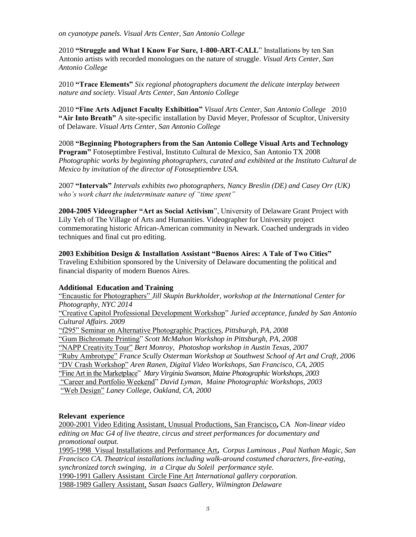*on cyanotype panels. Visual Arts Center, San Antonio College*

2010 **"Struggle and What I Know For Sure, 1-800-ART-CALL**" Installations by ten San Antonio artists with recorded monologues on the nature of struggle. *Visual Arts Center, San Antonio College*

2010 **"Trace Elements"** *Six regional photographers document the delicate interplay between nature and society. Visual Arts Center, San Antonio College*

2010 **"Fine Arts Adjunct Faculty Exhibition"** *Visual Arts Center, San Antonio College* 2010 **"Air Into Breath"** A site-specific installation by David Meyer, Professor of Scupltor, University of Delaware. *Visual Arts Center, San Antonio College*

2008 **"Beginning Photographers from the San Antonio College Visual Arts and Technology Program"** Fotoseptimbre Festival, Instituto Cultural de Mexico, San Antonio TX 2008 *Photographic works by beginning photographers, curated and exhibited at the Instituto Cultural de Mexico by invitation of the director of Fotoseptiembre USA.*

2007 **"Intervals"** *Intervals exhibits two photographers, Nancy Breslin (DE) and Casey Orr (UK) who's work chart the indeterminate nature of "time spent"*

**2004-2005 Videographer "Art as Social Activism**", University of Delaware Grant Project with Lily Yeh of The Village of Arts and Humanities. Videographer for University project commemorating historic African-American community in Newark. Coached undergrads in video techniques and final cut pro editing.

## **2003 Exhibition Design & Installation Assistant "Buenos Aires: A Tale of Two Cities"**

Traveling Exhibition sponsored by the University of Delaware documenting the political and financial disparity of modern Buenos Aires.

## **Additional Education and Training**

"Encaustic for Photographers" *Jill Skupin Burkholder, workshop at the International Center for Photography, NYC 2014*

"Creative Capitol Professional Development Workshop" *Juried acceptance, funded by San Antonio Cultural Affairs. 2009*

"f295" Seminar on Alternative Photographic Practices, *Pittsburgh, PA, 2008*

"Gum Bichromate Printing" *Scott McMahon Workshop in Pittsburgh, PA, 2008*

"NAPP Creativity Tour" *Bert Monroy, Photoshop workshop in Austin Texas, 2007*

"Ruby Ambrotype" *France Scully Osterman Workshop at Southwest School of Art and Craft, 2006*

"DV Crash Workshop" *Aren Ranen, Digital Video Workshops, San Francisco, CA, 2005*

"Fine Art in the Marketplace" *Mary Virginia Swanson, Maine Photographic Workshops, 2003*

"Career and Portfolio Weekend" *David Lyman, Maine Photographic Workshops, 2003*

"Web Design" *Laney College, Oakland, CA, 2000*

## **Relevant experience**

2000-2001 Video Editing Assistant, Unusual Productions, San Francisco**,** CA *Non-linear video editing on Mac G4 of live theatre, circus and street performances for documentary and promotional output.*

1995-1998 Visual Installations and Performance Art**,** *Corpus Luminous , Paul Nathan Magic, San Francisco CA. Theatrical installations including walk-around costumed characters, fire-eating, synchronized torch swinging, in a Cirque du Soleil performance style.* 1990-1991 Gallery Assistant Circle Fine Art *International gallery corporation.*  1988-1989 Gallery Assistant, *Susan Isaacs Gallery, Wilmington Delaware*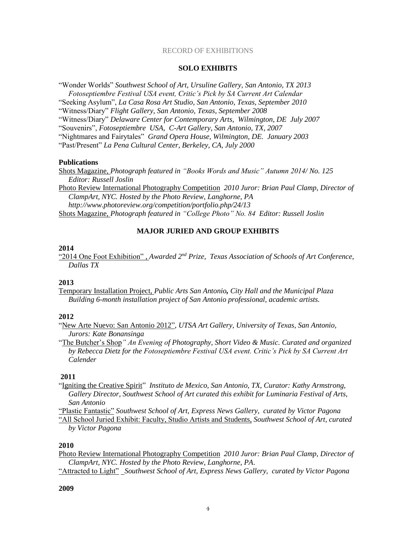#### RECORD OF EXHIBITIONS

#### **SOLO EXHIBITS**

"Wonder Worlds" *Southwest School of Art, Ursuline Gallery, San Antonio, TX 2013*

*Fotoseptiembre Festival USA event, Critic's Pick by SA Current Art Calendar*

"Seeking Asylum", *La Casa Rosa Art Studio, San Antonio, Texas, September 2010* 

"Witness/Diary" *Flight Gallery, San Antonio, Texas, September 2008*

"Witness/Diary" *Delaware Center for Contemporary Arts, Wilmington, DE July 2007*

"Souvenirs", *Fotoseptiembre USA, C-Art Gallery, San Antonio, TX, 2007* 

"Nightmares and Fairytales" *Grand Opera House, Wilmington, DE. January 2003*

"Past/Present" *La Pena Cultural Center, Berkeley, CA, July 2000* 

#### **Publications**

Shots Magazine, *Photograph featured in "Books Words and Music" Autumn 2014/ No. 125 Editor: Russell Joslin*

Photo Review International Photography Competition *2010 Juror: Brian Paul Clamp, Director of ClampArt, NYC. Hosted by the Photo Review, Langhorne, PA http://www.photoreview.org/competition/portfolio.php/24/13* Shots Magazine, *Photograph featured in "College Photo" No. 84 Editor: Russell Joslin*

### **MAJOR JURIED AND GROUP EXHIBITS**

#### **2014**

"2014 One Foot Exhibition" , *Awarded 2nd Prize, Texas Association of Schools of Art Conference, Dallas TX*

#### **2013**

Temporary Installation Project, *Public Arts San Antonio, City Hall and the Municipal Plaza Building 6-month installation project of San Antonio professional, academic artists.*

### **2012**

"New Arte Nuevo: San Antonio 2012", *UTSA Art Gallery, University of Texas, San Antonio, Jurors: Kate Bonansinga*

"The Butcher's Shop*" An Evening of Photography, Short Video & Music. Curated and organized by Rebecca Dietz for the Fotoseptiembre Festival USA event. Critic's Pick by SA Current Art Calender*

## **2011**

"Igniting the Creative Spirit" *Instituto de Mexico, San Antonio, TX, Curator: Kathy Armstrong, Gallery Director, Southwest School of Art curated this exhibit for Luminaria Festival of Arts, San Antonio*

"Plastic Fantastic" *Southwest School of Art, Express News Gallery, curated by Victor Pagona*

"All School Juried Exhibit: Faculty, Studio Artists and Students, *Southwest School of Art, curated by Victor Pagona*

#### **2010**

Photo Review International Photography Competition *2010 Juror: Brian Paul Clamp, Director of ClampArt, NYC. Hosted by the Photo Review, Langhorne, PA*.

"Attracted to Light" *Southwest School of Art, Express News Gallery, curated by Victor Pagona*

# **2009**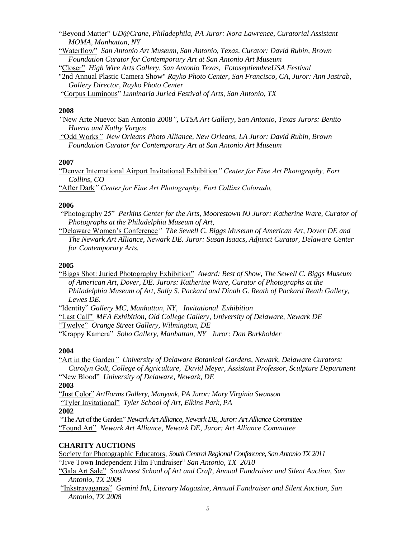"Beyond Matter" *UD@Crane, Philadephila, PA Juror: Nora Lawrence, Curatorial Assistant MOMA, Manhattan, NY*

"Waterflow" *San Antonio Art Museum, San Antonio, Texas, Curator: David Rubin, Brown Foundation Curator for Contemporary Art at San Antonio Art Museum*

"Closer" *High Wire Arts Gallery, San Antonio Texas, FotoseptiembreUSA Festival* 

"2nd Annual Plastic Camera Show" *Rayko Photo Center, San Francisco, CA, Juror: Ann Jastrab, Gallery Director, Rayko Photo Center*

"Corpus Luminous" *Luminaria Juried Festival of Arts, San Antonio, TX* 

#### **2008**

*"*New Arte Nuevo: San Antonio 2008*", UTSA Art Gallery, San Antonio, Texas Jurors: Benito Huerta and Kathy Vargas*

"Odd Works*" New Orleans Photo Alliance, New Orleans, LA Juror: David Rubin, Brown Foundation Curator for Contemporary Art at San Antonio Art Museum*

#### **2007**

"Denver International Airport Invitational Exhibition*" Center for Fine Art Photography, Fort Collins, CO* 

"After Dark*" Center for Fine Art Photography, Fort Collins Colorado,* 

#### **2006**

"Photography 25" *Perkins Center for the Arts, Moorestown NJ Juror: Katherine Ware, Curator of Photographs at the Philadelphia Museum of Art,* 

"Delaware Women's Conference*" The Sewell C. Biggs Museum of American Art, Dover DE and The Newark Art Alliance, Newark DE. Juror: Susan Isaacs, Adjunct Curator, Delaware Center for Contemporary Arts.* 

### **2005**

"Biggs Shot: Juried Photography Exhibition" *Award: Best of Show, The Sewell C. Biggs Museum of American Art, Dover, DE. Jurors: Katherine Ware, Curator of Photographs at the Philadelphia Museum of Art, Sally S. Packard and Dinah G. Reath of Packard Reath Gallery, Lewes DE.* 

"Identity" *Gallery MC, Manhattan, NY, Invitational Exhibition*

"Last Call" *MFA Exhibition, Old College Gallery, University of Delaware, Newark DE* 

"Twelve" *Orange Street Gallery, Wilmington, DE* 

"Krappy Kamera" *Soho Gallery, Manhattan, NY Juror: Dan Burkholder* 

### **2004**

"Art in the Garden*" University of Delaware Botanical Gardens, Newark, Delaware Curators: Carolyn Golt, College of Agriculture, David Meyer, Assistant Professor, Sculpture Department* "New Blood" *University of Delaware, Newark, DE*

**2003**

"Just Color" *ArtForms Gallery, Manyunk, PA Juror: Mary Virginia Swanson*  "Tyler Invitational" *Tyler School of Art, Elkins Park, PA* 

**2002**

"The Art of the Garden"*Newark Art Alliance, Newark DE, Juror: Art Alliance Committee*  "Found Art" *Newark Art Alliance, Newark DE, Juror: Art Alliance Committee* 

### **CHARITY AUCTIONS**

Society for Photographic Educators*, South Central Regional Conference, San Antonio TX 2011* "Jive Town Independent Film Fundraiser" *San Antonio, TX 2010*

"Gala Art Sale" *Southwest School of Art and Craft, Annual Fundraiser and Silent Auction, San Antonio, TX 2009*

"Inkstravaganza" *Gemini Ink, Literary Magazine, Annual Fundraiser and Silent Auction, San Antonio, TX 2008*